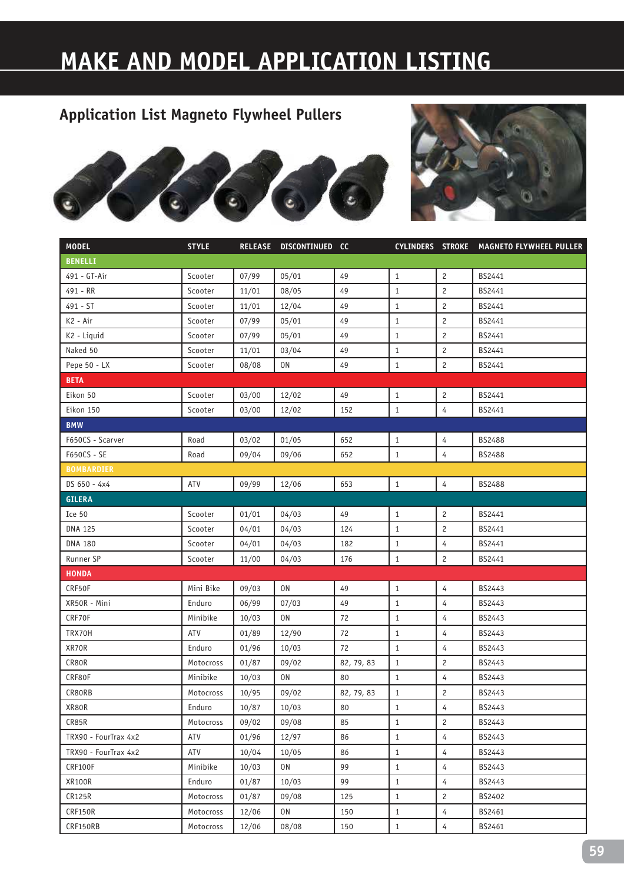# **MAKE AND MODEL APPLICATION LISTING**





| <b>MODEL</b>         | <b>STYLE</b> |       | RELEASE DISCONTINUED CC |            |              |                | CYLINDERS STROKE MAGNETO FLYWHEEL PULLER |
|----------------------|--------------|-------|-------------------------|------------|--------------|----------------|------------------------------------------|
| <b>BENELLI</b>       |              |       |                         |            |              |                |                                          |
| 491 - GT-Air         | Scooter      | 07/99 | 05/01                   | 49         | $\mathbf{1}$ | $\overline{c}$ | BS2441                                   |
| 491 - RR             | Scooter      | 11/01 | 08/05                   | 49         | $\mathbf{1}$ | $\overline{c}$ | BS2441                                   |
| 491 - ST             | Scooter      | 11/01 | 12/04                   | 49         | $\mathbf{1}$ | $\overline{c}$ | BS2441                                   |
| K2 - Air             | Scooter      | 07/99 | 05/01                   | 49         | $\mathbf{1}$ | $\overline{c}$ | BS2441                                   |
| K2 - Liquid          | Scooter      | 07/99 | 05/01                   | 49         | $\mathbf{1}$ | $\overline{c}$ | BS2441                                   |
| Naked 50             | Scooter      | 11/01 | 03/04                   | 49         | $\mathbf{1}$ | $\overline{c}$ | BS2441                                   |
| Pepe 50 - LX         | Scooter      | 08/08 | 0N                      | 49         | $\mathbf{1}$ | $\overline{c}$ | BS2441                                   |
| <b>BETA</b>          |              |       |                         |            |              |                |                                          |
| Eikon 50             | Scooter      | 03/00 | 12/02                   | 49         | $\mathbf{1}$ | $\overline{c}$ | BS2441                                   |
| Eikon 150            | Scooter      | 03/00 | 12/02                   | 152        | $\mathbf{1}$ | $\overline{4}$ | BS2441                                   |
| <b>BMW</b>           |              |       |                         |            |              |                |                                          |
| F650CS - Scarver     | Road         | 03/02 | 01/05                   | 652        | $\mathbf{1}$ | 4              | BS2488                                   |
| F650CS - SE          | Road         | 09/04 | 09/06                   | 652        | $\mathbf{1}$ | $\overline{4}$ | <b>BS2488</b>                            |
| <b>BOMBARDIER</b>    |              |       |                         |            |              |                |                                          |
| DS 650 - 4x4         | ATV          | 09/99 | 12/06                   | 653        | $\mathbf{1}$ | 4              | BS2488                                   |
| <b>GILERA</b>        |              |       |                         |            |              |                |                                          |
| Ice 50               | Scooter      | 01/01 | 04/03                   | 49         | $\mathbf{1}$ | $\overline{c}$ | BS2441                                   |
| <b>DNA 125</b>       | Scooter      | 04/01 | 04/03                   | 124        | $\mathbf{1}$ | $\overline{c}$ | BS2441                                   |
| <b>DNA 180</b>       | Scooter      | 04/01 | 04/03                   | 182        | $\mathbf{1}$ | 4              | BS2441                                   |
| Runner SP            | Scooter      | 11/00 | 04/03                   | 176        | $\mathbf{1}$ | $\overline{c}$ | BS2441                                   |
| <b>HONDA</b>         |              |       |                         |            |              |                |                                          |
| CRF50F               | Mini Bike    | 09/03 | 0N                      | 49         | $\mathbf{1}$ | $\overline{4}$ | BS2443                                   |
| XR50R - Mini         | Enduro       | 06/99 | 07/03                   | 49         | $\mathbf{1}$ | 4              | BS2443                                   |
| CRF70F               | Minibike     | 10/03 | $0N$                    | 72         | $\mathbf{1}$ | $\overline{4}$ | BS2443                                   |
| TRX70H               | ATV          | 01/89 | 12/90                   | 72         | $\mathbf{1}$ | 4              | BS2443                                   |
| XR70R                | Enduro       | 01/96 | 10/03                   | 72         | $\mathbf{1}$ | $\overline{4}$ | BS2443                                   |
| CR80R                | Motocross    | 01/87 | 09/02                   | 82, 79, 83 | $\mathbf{1}$ | 2              | BS2443                                   |
| CRF80F               | Minibike     | 10/03 | 0N                      | 80         | $\mathbf{1}$ | $\overline{4}$ | BS2443                                   |
| CR80RB               | Motocross    | 10/95 | 09/02                   | 82, 79, 83 | $\mathbf{1}$ | $\overline{c}$ | BS2443                                   |
| XR80R                | Enduro       | 10/87 | 10/03                   | 80         | 1            | 4              | BS2443                                   |
| CR85R                | Motocross    | 09/02 | 09/08                   | 85         | $\mathbf{1}$ | $\mathbf{2}$   | BS2443                                   |
| TRX90 - FourTrax 4x2 | ATV          | 01/96 | 12/97                   | 86         | $1\,$        | $\overline{4}$ | BS2443                                   |
| TRX90 - FourTrax 4x2 | ATV          | 10/04 | 10/05                   | 86         | $\mathbf{1}$ | 4              | BS2443                                   |
| CRF100F              | Minibike     | 10/03 | 0N                      | 99         | $\mathbf{1}$ | 4              | BS2443                                   |
| XR100R               | Enduro       | 01/87 | 10/03                   | 99         | $1\,$        | $\overline{4}$ | BS2443                                   |
| CR125R               | Motocross    | 01/87 | 09/08                   | 125        | $\mathbf{1}$ | $\mathbf{2}$   | BS2402                                   |
| CRF150R              | Motocross    | 12/06 | 0N                      | 150        | $\mathbf{1}$ | $\overline{4}$ | BS2461                                   |
| CRF150RB             | Motocross    | 12/06 | 08/08                   | 150        | $\,1\,$      | $\overline{4}$ | BS2461                                   |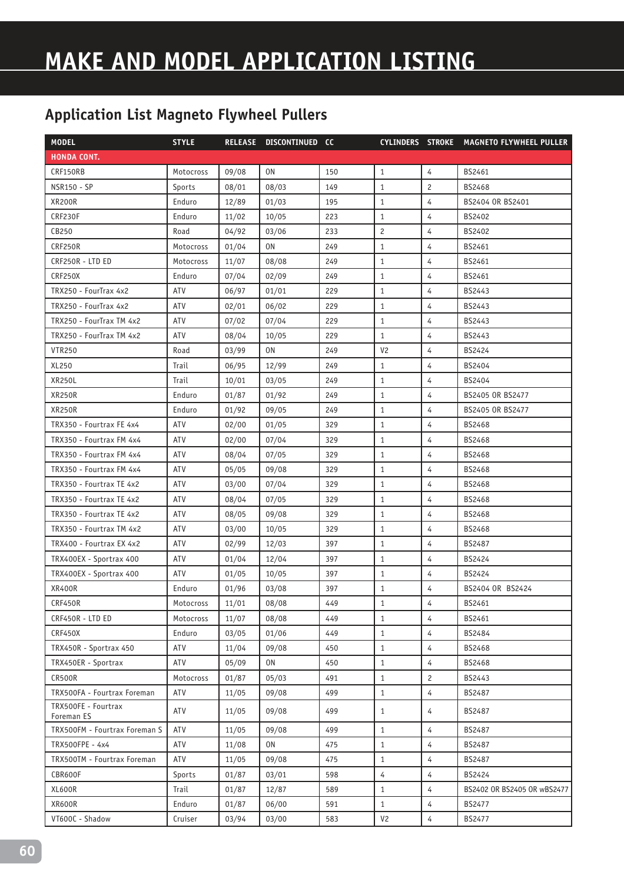| <b>MODEL</b>                      | <b>STYLE</b> |       | RELEASE DISCONTINUED CC |     |                |                | CYLINDERS STROKE MAGNETO FLYWHEEL PULLER |
|-----------------------------------|--------------|-------|-------------------------|-----|----------------|----------------|------------------------------------------|
| <b>HONDA CONT.</b>                |              |       |                         |     |                |                |                                          |
| CRF150RB                          | Motocross    | 09/08 | 0N                      | 150 | $\mathbf{1}$   | 4              | BS2461                                   |
| <b>NSR150 - SP</b>                | Sports       | 08/01 | 08/03                   | 149 | $\mathbf{1}$   | $\overline{c}$ | BS2468                                   |
| <b>XR200R</b>                     | Enduro       | 12/89 | 01/03                   | 195 | $\mathbf{1}$   | $\overline{4}$ | BS2404 OR BS2401                         |
| CRF230F                           | Enduro       | 11/02 | 10/05                   | 223 | $\mathbf{1}$   | 4              | BS2402                                   |
| CB250                             | Road         | 04/92 | 03/06                   | 233 | $\overline{c}$ | $\overline{4}$ | BS2402                                   |
| CRF250R                           | Motocross    | 01/04 | 0 <sub>N</sub>          | 249 | $\mathbf{1}$   | $\overline{4}$ | BS2461                                   |
| CRF250R - LTD ED                  | Motocross    | 11/07 | 08/08                   | 249 | $\mathbf{1}$   | 4              | BS2461                                   |
| <b>CRF250X</b>                    | Enduro       | 07/04 | 02/09                   | 249 | $\mathbf{1}$   | $\overline{4}$ | BS2461                                   |
| TRX250 - FourTrax 4x2             | <b>ATV</b>   | 06/97 | 01/01                   | 229 | $\mathbf{1}$   | $\overline{4}$ | BS2443                                   |
| TRX250 - FourTrax 4x2             | ATV          | 02/01 | 06/02                   | 229 | $\mathbf{1}$   | $\overline{4}$ | BS2443                                   |
| TRX250 - FourTrax TM 4x2          | ATV          | 07/02 | 07/04                   | 229 | $\mathbf{1}$   | $\overline{4}$ | BS2443                                   |
| TRX250 - FourTrax TM 4x2          | ATV          | 08/04 | 10/05                   | 229 | $\mathbf{1}$   | 4              | BS2443                                   |
| <b>VTR250</b>                     | Road         | 03/99 | 0N                      | 249 | V <sub>2</sub> | $\overline{4}$ | <b>BS2424</b>                            |
| XL250                             | Trail        | 06/95 | 12/99                   | 249 | $\mathbf{1}$   | $\overline{4}$ | BS2404                                   |
| <b>XR250L</b>                     | Trail        | 10/01 | 03/05                   | 249 | $\mathbf{1}$   | 4              | BS2404                                   |
| <b>XR250R</b>                     | Enduro       | 01/87 | 01/92                   | 249 | $\mathbf{1}$   | 4              | BS2405 OR BS2477                         |
| XR250R                            | Enduro       | 01/92 | 09/05                   | 249 | $\mathbf{1}$   | $\overline{4}$ | BS2405 OR BS2477                         |
| TRX350 - Fourtrax FE 4x4          | ATV          | 02/00 | 01/05                   | 329 | $\mathbf{1}$   | 4              | BS2468                                   |
| TRX350 - Fourtrax FM 4x4          | ATV          | 02/00 | 07/04                   | 329 | $\mathbf{1}$   | $\overline{4}$ | BS2468                                   |
| TRX350 - Fourtrax FM 4x4          | ATV          | 08/04 | 07/05                   | 329 | $\mathbf{1}$   | $\overline{4}$ | <b>BS2468</b>                            |
| TRX350 - Fourtrax FM 4x4          | ATV          | 05/05 | 09/08                   | 329 | $\mathbf{1}$   | 4              | BS2468                                   |
| TRX350 - Fourtrax TE 4x2          | ATV          | 03/00 | 07/04                   | 329 | $\mathbf{1}$   | 4              | BS2468                                   |
| TRX350 - Fourtrax TE 4x2          | ATV          | 08/04 | 07/05                   | 329 | $\mathbf{1}$   | 4              | <b>BS2468</b>                            |
| TRX350 - Fourtrax TE 4x2          | ATV          | 08/05 | 09/08                   | 329 | $\mathbf{1}$   | 4              | BS2468                                   |
| TRX350 - Fourtrax TM 4x2          | ATV          | 03/00 | 10/05                   | 329 | $\mathbf{1}$   | $\overline{4}$ | BS2468                                   |
| TRX400 - Fourtrax EX 4x2          | ATV          | 02/99 | 12/03                   | 397 | $\mathbf{1}$   | $\overline{4}$ | BS2487                                   |
| TRX400EX - Sportrax 400           | ATV          | 01/04 | 12/04                   | 397 | $\mathbf{1}$   | $\overline{4}$ | BS2424                                   |
| TRX400EX - Sportrax 400           | <b>ATV</b>   | 01/05 | 10/05                   | 397 | $\mathbf{1}$   | $\overline{4}$ | <b>BS2424</b>                            |
| <b>XR400R</b>                     | Enduro       | 01/96 | 03/08                   | 397 | $\mathbf{1}$   | 4              | BS2404 OR BS2424                         |
| CRF450R                           | Motocross    | 11/01 | 08/08                   | 449 | $1\,$          | 4              | BS2461                                   |
| CRF450R - LTD ED                  | Motocross    | 11/07 | 08/08                   | 449 | $\mathbf{1}$   | 4              | BS2461                                   |
| CRF450X                           | Enduro       | 03/05 | 01/06                   | 449 | $\mathbf{1}$   | $\overline{4}$ | BS2484                                   |
| TRX450R - Sportrax 450            | ATV          | 11/04 | 09/08                   | 450 | $\,1\,$        | $\overline{4}$ | BS2468                                   |
| TRX450ER - Sportrax               | ATV          | 05/09 | 0N                      | 450 | $\mathbf{1}$   | 4              | BS2468                                   |
| CR500R                            | Motocross    | 01/87 | 05/03                   | 491 | $\mathbf{1}$   | $\mathbf{2}$   | BS2443                                   |
| TRX500FA - Fourtrax Foreman       | ATV          | 11/05 | 09/08                   | 499 | $\mathbf{1}$   | $\overline{4}$ | BS2487                                   |
| TRX500FE - Fourtrax<br>Foreman ES | ATV          | 11/05 | 09/08                   | 499 | $\mathbf{1}$   | 4              | BS2487                                   |
| TRX500FM - Fourtrax Foreman S     | ATV          | 11/05 | 09/08                   | 499 | $1\,$          | $\overline{4}$ | BS2487                                   |
| TRX500FPE - 4x4                   | ATV          | 11/08 | 0N                      | 475 | $\mathbf{1}$   | $\overline{4}$ | BS2487                                   |
| TRX500TM - Fourtrax Foreman       | ATV          | 11/05 | 09/08                   | 475 | $\mathbf{1}$   | 4              | BS2487                                   |
| CBR600F                           | Sports       | 01/87 | 03/01                   | 598 | 4              | $\overline{4}$ | BS2424                                   |
| XL600R                            | Trail        | 01/87 | 12/87                   | 589 | $\mathbf{1}$   | $\overline{4}$ | BS2402 OR BS2405 OR wBS2477              |
| XR600R                            | Enduro       | 01/87 | 06/00                   | 591 | $\mathbf{1}$   | $\overline{4}$ | BS2477                                   |
| VT600C - Shadow                   | Cruiser      | 03/94 | 03/00                   | 583 | V <sub>2</sub> | 4              | BS2477                                   |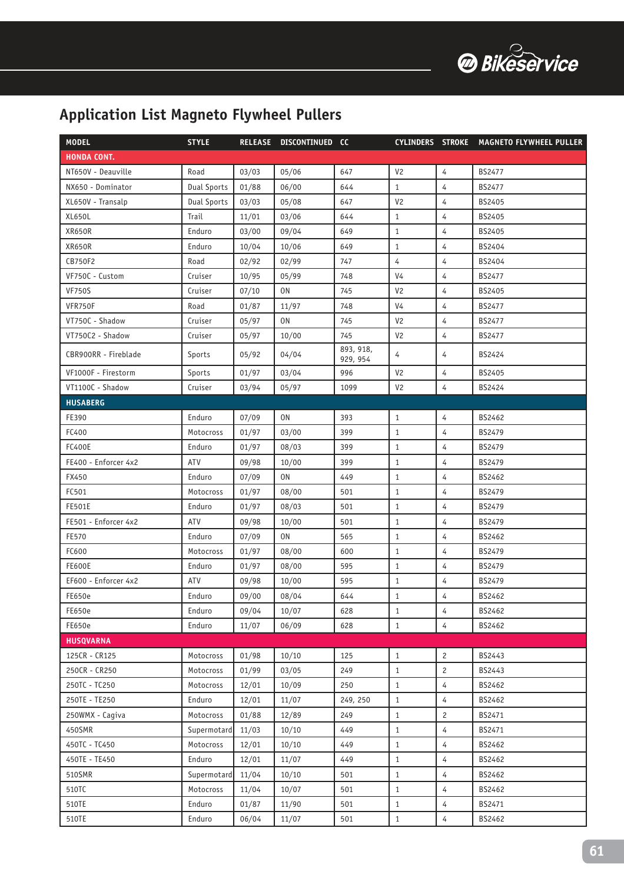

| <b>MODEL</b>         | <b>STYLE</b>       |       | RELEASE DISCONTINUED CC |                       |                |                | CYLINDERS STROKE MAGNETO FLYWHEEL PULLER |
|----------------------|--------------------|-------|-------------------------|-----------------------|----------------|----------------|------------------------------------------|
| <b>HONDA CONT.</b>   |                    |       |                         |                       |                |                |                                          |
| NT650V - Deauville   | Road               | 03/03 | 05/06                   | 647                   | V <sub>2</sub> | 4              | <b>BS2477</b>                            |
| NX650 - Dominator    | <b>Dual Sports</b> | 01/88 | 06/00                   | 644                   | $\mathbf{1}$   | 4              | <b>BS2477</b>                            |
| XL650V - Transalp    | Dual Sports        | 03/03 | 05/08                   | 647                   | V <sub>2</sub> | $\overline{4}$ | BS2405                                   |
| XL650L               | Trail              | 11/01 | 03/06                   | 644                   | $\mathbf{1}$   | 4              | BS2405                                   |
| <b>XR650R</b>        | Enduro             | 03/00 | 09/04                   | 649                   | $\mathbf{1}$   | 4              | BS2405                                   |
| <b>XR650R</b>        | Enduro             | 10/04 | 10/06                   | 649                   | $\mathbf{1}$   | $\overline{4}$ | BS2404                                   |
| CB750F2              | Road               | 02/92 | 02/99                   | 747                   | $\overline{4}$ | 4              | BS2404                                   |
| VF750C - Custom      | Cruiser            | 10/95 | 05/99                   | 748                   | V <sub>4</sub> | 4              | BS2477                                   |
| <b>VF750S</b>        | Cruiser            | 07/10 | 0N                      | 745                   | V <sub>2</sub> | $\overline{4}$ | BS2405                                   |
| VFR750F              | Road               | 01/87 | 11/97                   | 748                   | V <sub>4</sub> | 4              | <b>BS2477</b>                            |
| VT750C - Shadow      | Cruiser            | 05/97 | 0N                      | 745                   | V <sub>2</sub> | $\overline{4}$ | <b>BS2477</b>                            |
| VT750C2 - Shadow     | Cruiser            | 05/97 | 10/00                   | 745                   | V <sub>2</sub> | 4              | <b>BS2477</b>                            |
| CBR900RR - Fireblade | Sports             | 05/92 | 04/04                   | 893, 918,<br>929, 954 | 4              | 4              | <b>BS2424</b>                            |
| VF1000F - Firestorm  | Sports             | 01/97 | 03/04                   | 996                   | V <sub>2</sub> | $\overline{4}$ | BS2405                                   |
| VT1100C - Shadow     | Cruiser            | 03/94 | 05/97                   | 1099                  | V <sub>2</sub> | $\overline{4}$ | BS2424                                   |
| <b>HUSABERG</b>      |                    |       |                         |                       |                |                |                                          |
| FE390                | Enduro             | 07/09 | 0N                      | 393                   | $\mathbf{1}$   | 4              | BS2462                                   |
| FC400                | Motocross          | 01/97 | 03/00                   | 399                   | $\mathbf{1}$   | 4              | BS2479                                   |
| <b>FC400E</b>        | Enduro             | 01/97 | 08/03                   | 399                   | $\mathbf{1}$   | $\overline{4}$ | BS2479                                   |
| FE400 - Enforcer 4x2 | <b>ATV</b>         | 09/98 | 10/00                   | 399                   | $\mathbf{1}$   | 4              | BS2479                                   |
| FX450                | Enduro             | 07/09 | 0N                      | 449                   | $\mathbf{1}$   | 4              | BS2462                                   |
| FC501                | Motocross          | 01/97 | 08/00                   | 501                   | $\mathbf{1}$   | $\overline{4}$ | BS2479                                   |
| <b>FE501E</b>        | Enduro             | 01/97 | 08/03                   | 501                   | $\mathbf{1}$   | 4              | BS2479                                   |
| FE501 - Enforcer 4x2 | ATV                | 09/98 | 10/00                   | 501                   | 1              | 4              | BS2479                                   |
| FE570                | Enduro             | 07/09 | 0N                      | 565                   | $\mathbf{1}$   | $\overline{4}$ | BS2462                                   |
| FC600                | Motocross          | 01/97 | 08/00                   | 600                   | $\mathbf{1}$   | 4              | <b>BS2479</b>                            |
| <b>FE600E</b>        | Enduro             | 01/97 | 08/00                   | 595                   | $\mathbf{1}$   | 4              | BS2479                                   |
| EF600 - Enforcer 4x2 | ATV                | 09/98 | 10/00                   | 595                   | $\mathbf{1}$   | 4              | <b>BS2479</b>                            |
| FE650e               | Enduro             | 09/00 | 08/04                   | 644                   | $\mathbf{1}$   | 4              | BS2462                                   |
| FE650e               | Enduro             | 09/04 | 10/07                   | 628                   | $\mathbf{1}$   | 4              | BS2462                                   |
| FE650e               | Enduro             | 11/07 | 06/09                   | 628                   | $\mathbf{1}$   | $\overline{4}$ | BS2462                                   |
| <b>HUSQVARNA</b>     |                    |       |                         |                       |                |                |                                          |
| 125CR - CR125        | Motocross          | 01/98 | 10/10                   | 125                   | $\mathbf{1}$   | 2              | BS2443                                   |
| 250CR - CR250        | Motocross          | 01/99 | 03/05                   | 249                   | $\mathbf{1}$   | $\mathbf{2}$   | BS2443                                   |
| 250TC - TC250        | Motocross          | 12/01 | 10/09                   | 250                   | $\mathbf{1}$   | $\overline{4}$ | BS2462                                   |
| 250TE - TE250        | Enduro             | 12/01 | 11/07                   | 249, 250              | $\mathbf{1}$   | $\overline{4}$ | BS2462                                   |
| 250WMX - Cagiva      | Motocross          | 01/88 | 12/89                   | 249                   | $\mathbf{1}$   | $\mathbf{2}$   | BS2471                                   |
| 450SMR               | Supermotard        | 11/03 | 10/10                   | 449                   | $\mathbf{1}$   | $\overline{4}$ | BS2471                                   |
| 450TC - TC450        | Motocross          | 12/01 | 10/10                   | 449                   | $\mathbf{1}$   | $\overline{4}$ | BS2462                                   |
| 450TE - TE450        | Enduro             | 12/01 | 11/07                   | 449                   | $\mathbf{1}$   | $\overline{4}$ | BS2462                                   |
| 510SMR               | Supermotard        | 11/04 | 10/10                   | 501                   | $\mathbf{1}$   | 4              | BS2462                                   |
| 510TC                | Motocross          | 11/04 | 10/07                   | 501                   | $\mathbf{1}$   | $\overline{4}$ | BS2462                                   |
| 510TE                | Enduro             | 01/87 | 11/90                   | 501                   | $\mathbf{1}$   | $\overline{4}$ | BS2471                                   |
| 510TE                | Enduro             | 06/04 | 11/07                   | 501                   | $\mathbf{1}$   | 4              | BS2462                                   |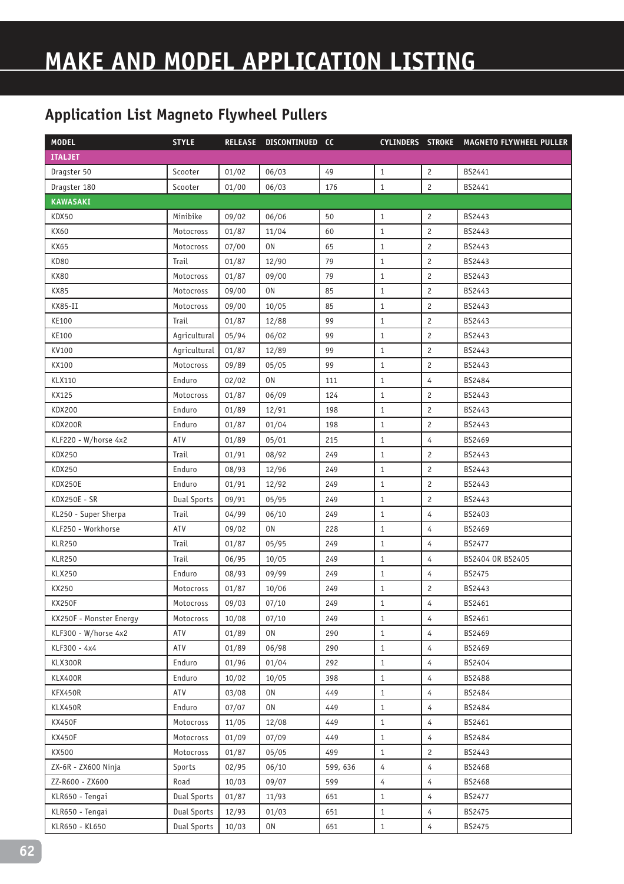| <b>MODEL</b>            | <b>STYLE</b>       |       | RELEASE DISCONTINUED CC |          |                |                       | CYLINDERS STROKE MAGNETO FLYWHEEL PULLER |
|-------------------------|--------------------|-------|-------------------------|----------|----------------|-----------------------|------------------------------------------|
| <b>ITALJET</b>          |                    |       |                         |          |                |                       |                                          |
| Dragster 50             | Scooter            | 01/02 | 06/03                   | 49       | $\mathbf{1}$   | $\overline{c}$        | BS2441                                   |
| Dragster 180            | Scooter            | 01/00 | 06/03                   | 176      | $\mathbf{1}$   | $\overline{c}$        | BS2441                                   |
| <b>KAWASAKI</b>         |                    |       |                         |          |                |                       |                                          |
| KDX50                   | Minibike           | 09/02 | 06/06                   | 50       | $\mathbf{1}$   | $\overline{c}$        | BS2443                                   |
| KX60                    | Motocross          | 01/87 | 11/04                   | 60       | $\mathbf{1}$   | $\overline{c}$        | BS2443                                   |
| KX65                    | Motocross          | 07/00 | 0N                      | 65       | $\mathbf{1}$   | $\overline{c}$        | BS2443                                   |
| <b>KD80</b>             | Trail              | 01/87 | 12/90                   | 79       | $\mathbf{1}$   | $\overline{c}$        | BS2443                                   |
| <b>KX80</b>             | Motocross          | 01/87 | 09/00                   | 79       | $\mathbf{1}$   | $\overline{c}$        | BS2443                                   |
| <b>KX85</b>             | Motocross          | 09/00 | 0N                      | 85       | $\mathbf{1}$   | $\overline{c}$        | BS2443                                   |
| KX85-II                 | Motocross          | 09/00 | 10/05                   | 85       | $\mathbf{1}$   | $\overline{c}$        | BS2443                                   |
| KE100                   | Trail              | 01/87 | 12/88                   | 99       | $\mathbf{1}$   | $\overline{c}$        | BS2443                                   |
| KE100                   | Agricultural       | 05/94 | 06/02                   | 99       | $\mathbf{1}$   | $\overline{c}$        | BS2443                                   |
| KV100                   | Agricultural       | 01/87 | 12/89                   | 99       | $\mathbf{1}$   | $\overline{c}$        | BS2443                                   |
| KX100                   | Motocross          | 09/89 | 05/05                   | 99       | $\mathbf{1}$   | $\overline{c}$        | BS2443                                   |
| KLX110                  | Enduro             | 02/02 | 0N                      | 111      | $\mathbf{1}$   | 4                     | BS2484                                   |
| KX125                   | Motocross          | 01/87 | 06/09                   | 124      | $\mathbf{1}$   | $\mathbf{2}^{\prime}$ | BS2443                                   |
| <b>KDX200</b>           | Enduro             | 01/89 | 12/91                   | 198      | $\mathbf{1}$   | $\overline{c}$        | BS2443                                   |
| KDX200R                 | Enduro             | 01/87 | 01/04                   | 198      | $\mathbf{1}$   | $\overline{c}$        | BS2443                                   |
| KLF220 - W/horse 4x2    | ATV                | 01/89 | 05/01                   | 215      | $\mathbf{1}$   | $\overline{4}$        | BS2469                                   |
| <b>KDX250</b>           | Trail              | 01/91 | 08/92                   | 249      | $\mathbf{1}$   | $\overline{c}$        | BS2443                                   |
| KDX250                  | Enduro             | 08/93 | 12/96                   | 249      | $\mathbf{1}$   | $\overline{c}$        | BS2443                                   |
| KDX250E                 | Enduro             | 01/91 | 12/92                   | 249      | $\mathbf{1}$   | $\overline{c}$        | BS2443                                   |
| KDX250E - SR            | <b>Dual Sports</b> | 09/91 | 05/95                   | 249      | $\mathbf{1}$   | $\overline{c}$        | BS2443                                   |
| KL250 - Super Sherpa    | Trail              | 04/99 | 06/10                   | 249      | $\mathbf{1}$   | $\overline{4}$        | BS2403                                   |
| KLF250 - Workhorse      | ATV                | 09/02 | ON                      | 228      | $1\,$          | $\overline{4}$        | BS2469                                   |
| <b>KLR250</b>           | Trail              | 01/87 | 05/95                   | 249      | $\mathbf{1}$   | 4                     | <b>BS2477</b>                            |
| <b>KLR250</b>           | Trail              | 06/95 | 10/05                   | 249      | $\mathbf{1}$   | 4                     | BS2404 OR BS2405                         |
| <b>KLX250</b>           | Enduro             | 08/93 | 09/99                   | 249      | $1\,$          | $\overline{4}$        | BS2475                                   |
| KX250                   | Motocross          | 01/87 | 10/06                   | 249      | $\mathbf{1}$   | $\overline{c}$        | BS2443                                   |
| <b>KX250F</b>           | Motocross          | 09/03 | 07/10                   | 249      | $\,1\,$        | 4                     | BS2461                                   |
| KX250F - Monster Energy | Motocross          | 10/08 | 07/10                   | 249      | $\mathbf{1}$   | $\overline{4}$        | BS2461                                   |
| KLF300 - W/horse 4x2    | ATV                | 01/89 | 0N                      | 290      | $\mathbf{1}$   | $\overline{4}$        | BS2469                                   |
| KLF300 - 4x4            | ATV                | 01/89 | 06/98                   | 290      | $\mathbf{1}$   | 4                     | BS2469                                   |
| KLX300R                 | Enduro             | 01/96 | 01/04                   | 292      | $\mathbf{1}$   | $\overline{4}$        | BS2404                                   |
| KLX400R                 | Enduro             | 10/02 | 10/05                   | 398      | $\mathbf{1}$   | 4                     | BS2488                                   |
| KFX450R                 | ATV                | 03/08 | 0N                      | 449      | $\mathbf{1}$   | 4                     | BS2484                                   |
| KLX450R                 | Enduro             | 07/07 | 0N                      | 449      | $\mathbf{1}$   | $\overline{4}$        | BS2484                                   |
| <b>KX450F</b>           | Motocross          | 11/05 | 12/08                   | 449      | $\mathbf{1}$   | $\overline{4}$        | BS2461                                   |
| <b>KX450F</b>           | Motocross          | 01/09 | 07/09                   | 449      | $\,1\,$        | $\overline{4}$        | BS2484                                   |
| KX500                   | Motocross          | 01/87 | 05/05                   | 499      | $\mathbf{1}$   | $\mathbf{2}$          | BS2443                                   |
| ZX-6R - ZX600 Ninja     | Sports             | 02/95 | 06/10                   | 599, 636 | $\overline{4}$ | $\overline{4}$        | BS2468                                   |
| ZZ-R600 - ZX600         | Road               | 10/03 | 09/07                   | 599      | $\overline{4}$ | $\overline{4}$        | BS2468                                   |
| KLR650 - Tengai         | <b>Dual Sports</b> | 01/87 | 11/93                   | 651      | $\mathbf{1}$   | $\overline{4}$        | BS2477                                   |
| KLR650 - Tengai         | <b>Dual Sports</b> | 12/93 | 01/03                   | 651      | $\mathbf{1}$   | $\overline{4}$        | BS2475                                   |
| KLR650 - KL650          | <b>Dual Sports</b> | 10/03 | 0N                      | 651      | $\mathbf{1}$   | 4                     | BS2475                                   |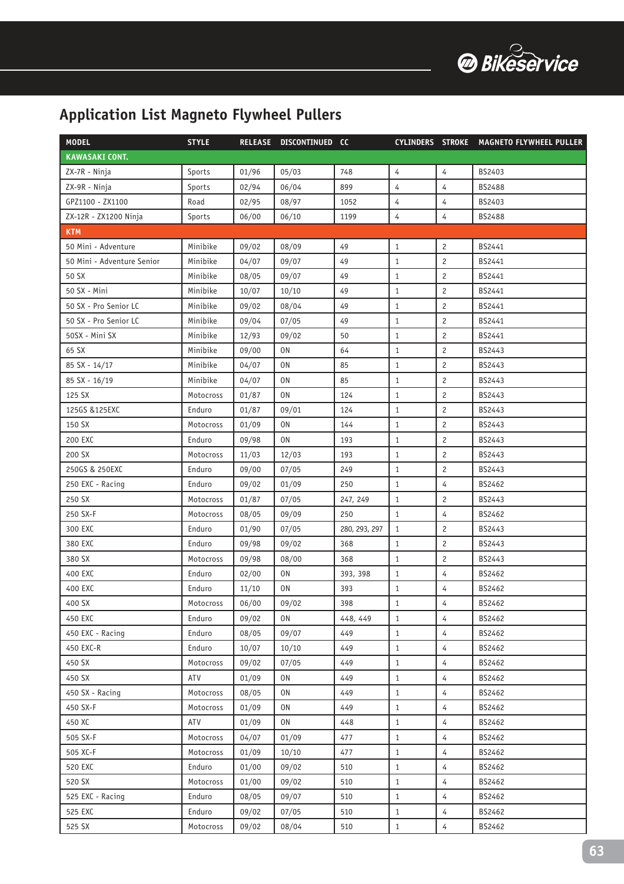

| <b>MODEL</b>               | <b>STYLE</b> |       | RELEASE DISCONTINUED CC |               |                |                       | CYLINDERS STROKE MAGNETO FLYWHEEL PULLER |
|----------------------------|--------------|-------|-------------------------|---------------|----------------|-----------------------|------------------------------------------|
| <b>KAWASAKI CONT.</b>      |              |       |                         |               |                |                       |                                          |
| ZX-7R - Ninja              | Sports       | 01/96 | 05/03                   | 748           | 4              | 4                     | BS2403                                   |
| ZX-9R - Ninja              | Sports       | 02/94 | 06/04                   | 899           | 4              | 4                     | BS2488                                   |
| GPZ1100 - ZX1100           | Road         | 02/95 | 08/97                   | 1052          | $\overline{4}$ | 4                     | BS2403                                   |
| ZX-12R - ZX1200 Ninja      | Sports       | 06/00 | 06/10                   | 1199          | $\overline{4}$ | $\overline{4}$        | BS2488                                   |
| <b>KTM</b>                 |              |       |                         |               |                |                       |                                          |
| 50 Mini - Adventure        | Minibike     | 09/02 | 08/09                   | 49            | $\mathbf{1}$   | $\overline{c}$        | BS2441                                   |
| 50 Mini - Adventure Senior | Minibike     | 04/07 | 09/07                   | 49            | $\mathbf{1}$   | $\overline{2}$        | BS2441                                   |
| 50 SX                      | Minibike     | 08/05 | 09/07                   | 49            | $\mathbf{1}$   | $\overline{c}$        | BS2441                                   |
| 50 SX - Mini               | Minibike     | 10/07 | 10/10                   | 49            | $\mathbf{1}$   | $\overline{c}$        | BS2441                                   |
| 50 SX - Pro Senior LC      | Minibike     | 09/02 | 08/04                   | 49            | $\mathbf{1}$   | $\overline{c}$        | BS2441                                   |
| 50 SX - Pro Senior LC      | Minibike     | 09/04 | 07/05                   | 49            | $\mathbf{1}$   | $\overline{c}$        | BS2441                                   |
| 50SX - Mini SX             | Minibike     | 12/93 | 09/02                   | 50            | 1              | $\overline{c}$        | BS2441                                   |
| 65 SX                      | Minibike     | 09/00 | 0N                      | 64            | $\mathbf{1}$   | $\mathbf{2}^{\prime}$ | BS2443                                   |
| 85 SX - 14/17              | Minibike     | 04/07 | 0N                      | 85            | $\mathbf{1}$   | $\overline{c}$        | BS2443                                   |
| 85 SX - 16/19              | Minibike     | 04/07 | 0N                      | 85            | $\mathbf{1}$   | $\overline{c}$        | BS2443                                   |
| 125 SX                     | Motocross    | 01/87 | 0N                      | 124           | $\mathbf{1}$   | $\overline{c}$        | BS2443                                   |
| 125GS & 125EXC             | Enduro       | 01/87 | 09/01                   | 124           | $\mathbf{1}$   | $\overline{c}$        | BS2443                                   |
| 150 SX                     | Motocross    | 01/09 | 0N                      | 144           | $\mathbf{1}$   | $\overline{c}$        | BS2443                                   |
| 200 EXC                    | Enduro       | 09/98 | 0N                      | 193           | $\mathbf{1}$   | $\overline{c}$        | BS2443                                   |
| 200 SX                     | Motocross    | 11/03 | 12/03                   | 193           | $\mathbf{1}$   | $\overline{c}$        | BS2443                                   |
| 250GS & 250EXC             | Enduro       | 09/00 | 07/05                   | 249           | $\mathbf{1}$   | $\overline{c}$        | BS2443                                   |
| 250 EXC - Racing           | Enduro       | 09/02 | 01/09                   | 250           | $\mathbf{1}$   | 4                     | BS2462                                   |
| 250 SX                     | Motocross    | 01/87 | 07/05                   | 247, 249      | $\mathbf{1}$   | $\overline{c}$        | BS2443                                   |
| 250 SX-F                   | Motocross    | 08/05 | 09/09                   | 250           | 1              | 4                     | BS2462                                   |
| 300 EXC                    | Enduro       | 01/90 | 07/05                   | 280, 293, 297 | $\mathbf{1}$   | $\overline{c}$        | BS2443                                   |
| 380 EXC                    | Enduro       | 09/98 | 09/02                   | 368           | $\mathbf{1}$   | $\overline{c}$        | BS2443                                   |
| 380 SX                     | Motocross    | 09/98 | 08/00                   | 368           | $\mathbf{1}$   | $\overline{c}$        | BS2443                                   |
| 400 EXC                    | Enduro       | 02/00 | 0N                      | 393, 398      | $\mathbf{1}$   | 4                     | BS2462                                   |
| 400 EXC                    | Enduro       | 11/10 | 0N                      | 393           | $\mathbf{1}$   | 4                     | BS2462                                   |
| 400 SX                     | Motocross    | 06/00 | 09/02                   | 398           | $\mathbf{1}$   | 4                     | BS2462                                   |
| 450 EXC                    | Enduro       | 09/02 | 0N                      | 448, 449      | $\mathbf{1}$   | 4                     | BS2462                                   |
| 450 EXC - Racing           | Enduro       | 08/05 | 09/07                   | 449           | $\mathbf{1}$   | $\overline{4}$        | BS2462                                   |
| 450 EXC-R                  | Enduro       | 10/07 | 10/10                   | 449           | $\mathbf{1}$   | $\overline{4}$        | BS2462                                   |
| 450 SX                     | Motocross    | 09/02 | 07/05                   | 449           | $\mathbf{1}$   | 4                     | BS2462                                   |
| 450 SX                     | ATV          | 01/09 | 0N                      | 449           | $\mathbf{1}$   | 4                     | BS2462                                   |
| 450 SX - Racing            | Motocross    | 08/05 | 0N                      | 449           | $\mathbf{1}$   | 4                     | BS2462                                   |
| 450 SX-F                   | Motocross    | 01/09 | 0N                      | 449           | $\mathbf{1}$   | 4                     | BS2462                                   |
| 450 XC                     | ATV          | 01/09 | 0N                      | 448           | $\mathbf{1}$   | $\overline{4}$        | BS2462                                   |
| 505 SX-F                   | Motocross    | 04/07 | 01/09                   | 477           | $\mathbf{1}$   | 4                     | BS2462                                   |
| 505 XC-F                   | Motocross    | 01/09 | 10/10                   | 477           | $\mathbf{1}$   | 4                     | BS2462                                   |
| 520 EXC                    | Enduro       | 01/00 | 09/02                   | 510           | $\mathbf{1}$   | 4                     | BS2462                                   |
| 520 SX                     | Motocross    | 01/00 | 09/02                   | 510           | $\mathbf{1}$   | 4                     | BS2462                                   |
| 525 EXC - Racing           | Enduro       | 08/05 | 09/07                   | 510           | $\mathbf{1}$   | $\overline{4}$        | BS2462                                   |
| 525 EXC                    | Enduro       | 09/02 | 07/05                   | 510           | $\mathbf{1}$   | $\overline{4}$        | BS2462                                   |
| 525 SX                     | Motocross    | 09/02 | 08/04                   | 510           | $\mathbf{1}$   | $\overline{4}$        | BS2462                                   |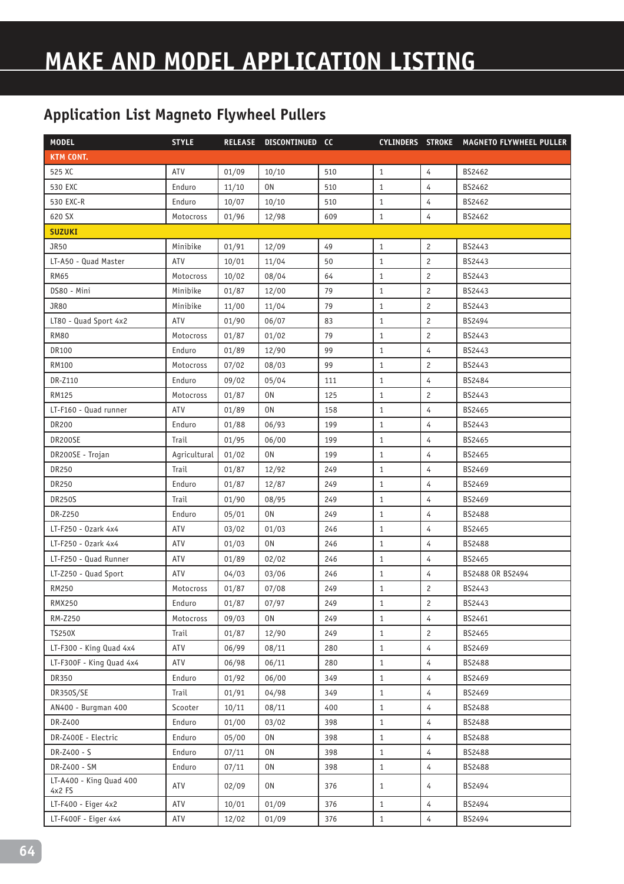| <b>MODEL</b>                      | <b>STYLE</b> |       | RELEASE DISCONTINUED CC |     |              |                | CYLINDERS STROKE MAGNETO FLYWHEEL PULLER |
|-----------------------------------|--------------|-------|-------------------------|-----|--------------|----------------|------------------------------------------|
| <b>KTM CONT.</b>                  |              |       |                         |     |              |                |                                          |
| 525 XC                            | ATV          | 01/09 | 10/10                   | 510 | $\mathbf{1}$ | 4              | BS2462                                   |
| 530 EXC                           | Enduro       | 11/10 | 0N                      | 510 | $\mathbf{1}$ | $\overline{4}$ | BS2462                                   |
| 530 EXC-R                         | Enduro       | 10/07 | 10/10                   | 510 | $\mathbf{1}$ | 4              | BS2462                                   |
| 620 SX                            | Motocross    | 01/96 | 12/98                   | 609 | $\mathbf{1}$ | 4              | BS2462                                   |
| <b>SUZUKI</b>                     |              |       |                         |     |              |                |                                          |
| JR50                              | Minibike     | 01/91 | 12/09                   | 49  | $\mathbf{1}$ | $\overline{c}$ | BS2443                                   |
| LT-A50 - Quad Master              | <b>ATV</b>   | 10/01 | 11/04                   | 50  | $\mathbf{1}$ | $\overline{c}$ | BS2443                                   |
| <b>RM65</b>                       | Motocross    | 10/02 | 08/04                   | 64  | $\mathbf{1}$ | $\overline{c}$ | BS2443                                   |
| DS80 - Mini                       | Minibike     | 01/87 | 12/00                   | 79  | $\mathbf{1}$ | $\overline{c}$ | BS2443                                   |
| <b>JR80</b>                       | Minibike     | 11/00 | 11/04                   | 79  | $\mathbf{1}$ | $\overline{c}$ | BS2443                                   |
| LT80 - Quad Sport 4x2             | ATV          | 01/90 | 06/07                   | 83  | 1            | $\overline{c}$ | BS2494                                   |
| <b>RM80</b>                       | Motocross    | 01/87 | 01/02                   | 79  | $\mathbf{1}$ | $\overline{c}$ | BS2443                                   |
| <b>DR100</b>                      | Enduro       | 01/89 | 12/90                   | 99  | $\mathbf{1}$ | $\overline{4}$ | BS2443                                   |
| RM100                             | Motocross    | 07/02 | 08/03                   | 99  | $\mathbf{1}$ | $\overline{c}$ | BS2443                                   |
| DR-Z110                           | Enduro       | 09/02 | 05/04                   | 111 | $\mathbf{1}$ | $\overline{4}$ | BS2484                                   |
| RM125                             | Motocross    | 01/87 | 0N                      | 125 | 1            | $\overline{c}$ | BS2443                                   |
| LT-F160 - Quad runner             | ATV          | 01/89 | <b>ON</b>               | 158 | $\mathbf{1}$ | $\overline{4}$ | BS2465                                   |
| <b>DR200</b>                      | Enduro       | 01/88 | 06/93                   | 199 | $\mathbf{1}$ | 4              | BS2443                                   |
| DR200SE                           | Trail        | 01/95 | 06/00                   | 199 | $\mathbf{1}$ | 4              | BS2465                                   |
| DR200SE - Trojan                  | Agricultural | 01/02 | 0 <sub>N</sub>          | 199 | $\mathbf{1}$ | 4              | BS2465                                   |
| DR250                             | Trail        | 01/87 | 12/92                   | 249 | $\mathbf{1}$ | 4              | BS2469                                   |
| DR250                             | Enduro       | 01/87 | 12/87                   | 249 | $\mathbf{1}$ | $\overline{4}$ | BS2469                                   |
| <b>DR250S</b>                     | Trail        | 01/90 | 08/95                   | 249 | $\mathbf{1}$ | 4              | BS2469                                   |
| DR-Z250                           | Enduro       | 05/01 | 0N                      | 249 | $\mathbf{1}$ | $\overline{4}$ | <b>BS2488</b>                            |
| LT-F250 - Ozark 4x4               | ATV          | 03/02 | 01/03                   | 246 | $\mathbf{1}$ | 4              | BS2465                                   |
| LT-F250 - Ozark 4x4               | ATV          | 01/03 | 0N                      | 246 | $\mathbf{1}$ | 4              | BS2488                                   |
| LT-F250 - Quad Runner             | ATV          | 01/89 | 02/02                   | 246 | $\mathbf{1}$ | $\overline{4}$ | BS2465                                   |
| LT-Z250 - Quad Sport              | ATV          | 04/03 | 03/06                   | 246 | $\mathbf{1}$ | $\overline{4}$ | BS2488 OR BS2494                         |
| RM250                             | Motocross    | 01/87 | 07/08                   | 249 | $\mathbf{1}$ | $\mathbf{2}$   | BS2443                                   |
| <b>RMX250</b>                     | Enduro       | 01/87 | 07/97                   | 249 | $\mathbf{1}$ | $\overline{c}$ | BS2443                                   |
| RM-Z250                           | Motocross    | 09/03 | 0N                      | 249 | $\mathbf{1}$ | $\overline{4}$ | BS2461                                   |
| <b>TS250X</b>                     | Trail        | 01/87 | 12/90                   | 249 | $1\,$        | $\mathbf{2}$   | BS2465                                   |
| LT-F300 - King Quad 4x4           | ATV          | 06/99 | 08/11                   | 280 | $1\,$        | $\overline{4}$ | BS2469                                   |
| LT-F300F - King Quad 4x4          | ATV          | 06/98 | 06/11                   | 280 | $\mathbf{1}$ | $\overline{4}$ | <b>BS2488</b>                            |
| DR350                             | Enduro       | 01/92 | 06/00                   | 349 | $1\,$        | 4              | BS2469                                   |
| DR350S/SE                         | Trail        | 01/91 | 04/98                   | 349 | $\mathbf{1}$ | 4              | BS2469                                   |
| AN400 - Burgman 400               | Scooter      | 10/11 | 08/11                   | 400 | $\mathbf{1}$ | $\overline{4}$ | BS2488                                   |
| DR-Z400                           | Enduro       | 01/00 | 03/02                   | 398 | $\mathbf{1}$ | $\overline{4}$ | BS2488                                   |
| DR-Z400E - Electric               | Enduro       | 05/00 | 0N                      | 398 | $1\,$        | $\overline{4}$ | BS2488                                   |
| DR-Z400 - S                       | Enduro       | 07/11 | 0N                      | 398 | $\mathbf{1}$ | 4              | BS2488                                   |
| DR-Z400 - SM                      | Enduro       | 07/11 | 0N                      | 398 | $\mathbf{1}$ | $\overline{4}$ | BS2488                                   |
| LT-A400 - King Quad 400<br>4x2 FS | ATV          | 02/09 | 0N                      | 376 | $\mathbf{1}$ | 4              | BS2494                                   |
| LT-F400 - Eiger 4x2               | ATV          | 10/01 | 01/09                   | 376 | $\mathbf{1}$ | $\overline{4}$ | BS2494                                   |
| LT-F400F - Eiger 4x4              | ATV          | 12/02 | 01/09                   | 376 | $\,1\,$      | $\overline{4}$ | BS2494                                   |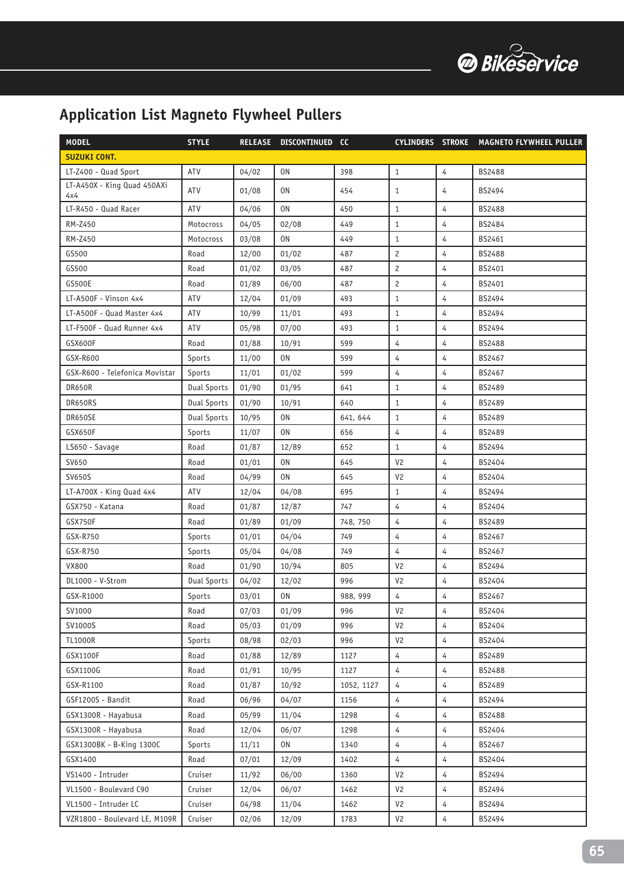

| <b>MODEL</b>                       | <b>STYLE</b>       |       | RELEASE DISCONTINUED CC |            |                |                | CYLINDERS STROKE MAGNETO FLYWHEEL PULLER |
|------------------------------------|--------------------|-------|-------------------------|------------|----------------|----------------|------------------------------------------|
| <b>SUZUKI CONT.</b>                |                    |       |                         |            |                |                |                                          |
| LT-Z400 - Quad Sport               | ATV                | 04/02 | 0N                      | 398        | $\mathbf{1}$   | $\overline{4}$ | <b>BS2488</b>                            |
| LT-A450X - King Quad 450AXi<br>4x4 | ATV                | 01/08 | 0 <sub>N</sub>          | 454        | $\mathbf{1}$   | 4              | BS2494                                   |
| LT-R450 - Quad Racer               | ATV                | 04/06 | 0 <sub>N</sub>          | 450        | $\mathbf{1}$   | $\overline{4}$ | BS2488                                   |
| RM-Z450                            | Motocross          | 04/05 | 02/08                   | 449        | $\mathbf{1}$   | $\overline{4}$ | BS2484                                   |
| RM-Z450                            | Motocross          | 03/08 | 0N                      | 449        | $\mathbf{1}$   | $\overline{4}$ | BS2461                                   |
| GS500                              | Road               | 12/00 | 01/02                   | 487        | $\overline{c}$ | 4              | <b>BS2488</b>                            |
| GS500                              | Road               | 01/02 | 03/05                   | 487        | $\overline{c}$ | 4              | BS2401                                   |
| <b>GS500E</b>                      | Road               | 01/89 | 06/00                   | 487        | $\overline{c}$ | 4              | BS2401                                   |
| LT-A500F - Vinson 4x4              | ATV                | 12/04 | 01/09                   | 493        | $\mathbf{1}$   | 4              | BS2494                                   |
| LT-A500F - Quad Master 4x4         | ATV                | 10/99 | 11/01                   | 493        | $\mathbf{1}$   | 4              | BS2494                                   |
| LT-F500F - Quad Runner 4x4         | ATV                | 05/98 | 07/00                   | 493        | $\mathbf{1}$   | $\overline{4}$ | BS2494                                   |
| GSX600F                            | Road               | 01/88 | 10/91                   | 599        | 4              | 4              | BS2488                                   |
| GSX-R600                           | Sports             | 11/00 | 0N                      | 599        | $\overline{4}$ | $\overline{4}$ | BS2467                                   |
| GSX-R600 - Telefonica Movistar     | Sports             | 11/01 | 01/02                   | 599        | $\overline{4}$ | $\overline{4}$ | BS2467                                   |
| DR650R                             | <b>Dual Sports</b> | 01/90 | 01/95                   | 641        | $\mathbf{1}$   | 4              | BS2489                                   |
| DR650RS                            | <b>Dual Sports</b> | 01/90 | 10/91                   | 640        | $\mathbf{1}$   | $\overline{4}$ | BS2489                                   |
| DR650SE                            | <b>Dual Sports</b> | 10/95 | 0N                      | 641, 644   | $\mathbf{1}$   | 4              | BS2489                                   |
| GSX650F                            | Sports             | 11/07 | 0N                      | 656        | 4              | $\overline{4}$ | BS2489                                   |
| LS650 - Savage                     | Road               | 01/87 | 12/89                   | 652        | $\mathbf{1}$   | 4              | BS2494                                   |
| SV650                              | Road               | 01/01 | 0N                      | 645        | V <sub>2</sub> | 4              | BS2404                                   |
| <b>SV650S</b>                      | Road               | 04/99 | 0N                      | 645        | V <sub>2</sub> | $\overline{4}$ | BS2404                                   |
| LT-A700X - King Quad 4x4           | ATV                | 12/04 | 04/08                   | 695        | $\mathbf{1}$   | $\overline{4}$ | BS2494                                   |
| GSX750 - Katana                    | Road               | 01/87 | 12/87                   | 747        | 4              | 4              | BS2404                                   |
| GSX750F                            | Road               | 01/89 | 01/09                   | 748, 750   | 4              | 4              | BS2489                                   |
| GSX-R750                           | Sports             | 01/01 | 04/04                   | 749        | $\overline{4}$ | $\overline{4}$ | BS2467                                   |
| GSX-R750                           | Sports             | 05/04 | 04/08                   | 749        | 4              | 4              | BS2467                                   |
| <b>VX800</b>                       | Road               | 01/90 | 10/94                   | 805        | V <sub>2</sub> | $\overline{4}$ | BS2494                                   |
| DL1000 - V-Strom                   | <b>Dual Sports</b> | 04/02 | 12/02                   | 996        | V <sub>2</sub> | 4              | BS2404                                   |
| GSX-R1000                          | Sports             | 03/01 | 0N                      | 988, 999   | 4              | $\overline{4}$ | BS2467                                   |
| SV1000                             | Road               | 07/03 | 01/09                   | 996        | V <sub>2</sub> | 4              | BS2404                                   |
| SV1000S                            | Road               | 05/03 | 01/09                   | 996        | V <sub>2</sub> | 4              | BS2404                                   |
| <b>TL1000R</b>                     | Sports             | 08/98 | 02/03                   | 996        | V <sub>2</sub> | $\overline{4}$ | BS2404                                   |
| GSX1100F                           | Road               | 01/88 | 12/89                   | 1127       | $\overline{4}$ | $\overline{4}$ | BS2489                                   |
| GSX1100G                           | Road               | 01/91 | 10/95                   | 1127       | 4              | 4              | BS2488                                   |
| GSX-R1100                          | Road               | 01/87 | 10/92                   | 1052, 1127 | 4              | 4              | BS2489                                   |
| GSF1200S - Bandit                  | Road               | 06/96 | 04/07                   | 1156       | $\sqrt{4}$     | $\overline{4}$ | BS2494                                   |
| GSX1300R - Hayabusa                | Road               | 05/99 | 11/04                   | 1298       | $\overline{4}$ | $\overline{4}$ | BS2488                                   |
| GSX1300R - Hayabusa                | Road               | 12/04 | 06/07                   | 1298       | $\overline{4}$ | $\overline{4}$ | BS2404                                   |
| GSX1300BK - B-King 1300C           | Sports             | 11/11 | 0N                      | 1340       | $\overline{4}$ | $\overline{4}$ | BS2467                                   |
| GSX1400                            | Road               | 07/01 | 12/09                   | 1402       | $\overline{4}$ | 4              | BS2404                                   |
| VS1400 - Intruder                  | Cruiser            | 11/92 | 06/00                   | 1360       | V <sub>2</sub> | 4              | BS2494                                   |
| VL1500 - Boulevard C90             | Cruiser            | 12/04 | 06/07                   | 1462       | V <sub>2</sub> | $\overline{4}$ | BS2494                                   |
| VL1500 - Intruder LC               | Cruiser            | 04/98 | 11/04                   | 1462       | V <sub>2</sub> | $\overline{4}$ | BS2494                                   |
| VZR1800 - Boulevard LE, M109R      | Cruiser            | 02/06 | 12/09                   | 1783       | V <sub>2</sub> | 4              | BS2494                                   |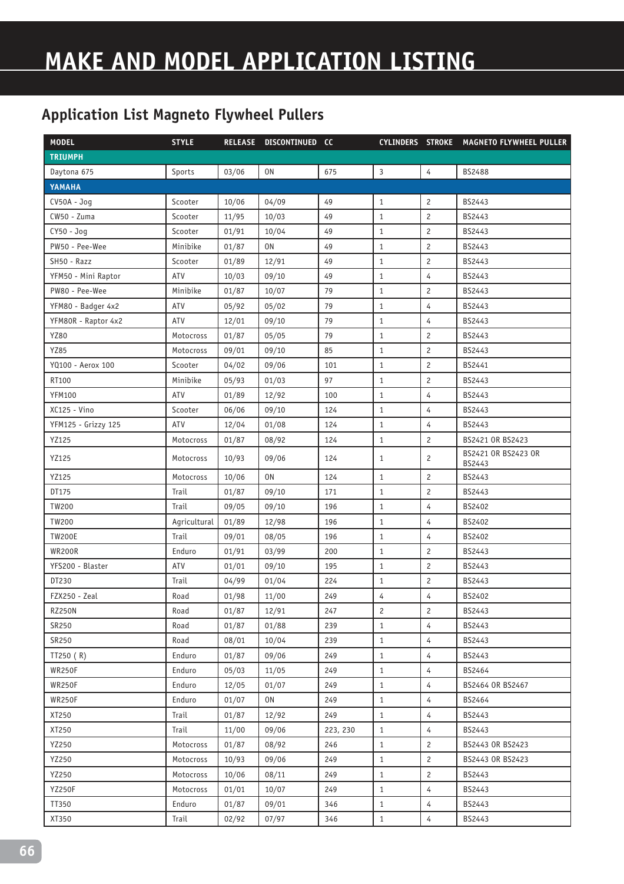# **MAKE AND MODEL APPLICATION LISTING**

| <b>MODEL</b>        | <b>STYLE</b> |       | RELEASE DISCONTINUED CC |          |                |                       | CYLINDERS STROKE MAGNETO FLYWHEEL PULLER |
|---------------------|--------------|-------|-------------------------|----------|----------------|-----------------------|------------------------------------------|
| <b>TRIUMPH</b>      |              |       |                         |          |                |                       |                                          |
| Daytona 675         | Sports       | 03/06 | 0N                      | 675      | $\overline{3}$ | $\overline{4}$        | <b>BS2488</b>                            |
| YAMAHA              |              |       |                         |          |                |                       |                                          |
| $CV50A - Jog$       | Scooter      | 10/06 | 04/09                   | 49       | $\mathbf{1}$   | $\overline{c}$        | BS2443                                   |
| CW50 - Zuma         | Scooter      | 11/95 | 10/03                   | 49       | $\mathbf{1}$   | $\overline{c}$        | BS2443                                   |
| CY50 - Jog          | Scooter      | 01/91 | 10/04                   | 49       | $\mathbf{1}$   | $\overline{c}$        | BS2443                                   |
| PW50 - Pee-Wee      | Minibike     | 01/87 | 0 <sub>N</sub>          | 49       | $\mathbf{1}$   | $\overline{c}$        | BS2443                                   |
| SH50 - Razz         | Scooter      | 01/89 | 12/91                   | 49       | $\mathbf{1}$   | $\overline{c}$        | BS2443                                   |
| YFM50 - Mini Raptor | ATV          | 10/03 | 09/10                   | 49       | $\mathbf{1}$   | 4                     | BS2443                                   |
| PW80 - Pee-Wee      | Minibike     | 01/87 | 10/07                   | 79       | $\mathbf{1}$   | $\overline{c}$        | BS2443                                   |
| YFM80 - Badger 4x2  | ATV          | 05/92 | 05/02                   | 79       | $\mathbf{1}$   | 4                     | BS2443                                   |
| YFM80R - Raptor 4x2 | ATV          | 12/01 | 09/10                   | 79       | $\mathbf{1}$   | $\overline{4}$        | BS2443                                   |
| YZ80                | Motocross    | 01/87 | 05/05                   | 79       | $\mathbf{1}$   | $\overline{c}$        | BS2443                                   |
| <b>YZ85</b>         | Motocross    | 09/01 | 09/10                   | 85       | $\mathbf{1}$   | $\overline{c}$        | BS2443                                   |
| YQ100 - Aerox 100   | Scooter      | 04/02 | 09/06                   | 101      | $\mathbf{1}$   | $\overline{c}$        | BS2441                                   |
| RT100               | Minibike     | 05/93 | 01/03                   | 97       | $\mathbf{1}$   | $\overline{c}$        | BS2443                                   |
| <b>YFM100</b>       | ATV          | 01/89 | 12/92                   | 100      | $\mathbf{1}$   | 4                     | BS2443                                   |
| XC125 - Vino        | Scooter      | 06/06 | 09/10                   | 124      | $\mathbf{1}$   | 4                     | BS2443                                   |
| YFM125 - Grizzy 125 | ATV          | 12/04 | 01/08                   | 124      | $\mathbf{1}$   | 4                     | BS2443                                   |
| YZ125               | Motocross    | 01/87 | 08/92                   | 124      | $\mathbf{1}$   | $\mathbf{2}^{\prime}$ | BS2421 OR BS2423                         |
| YZ125               | Motocross    | 10/93 | 09/06                   | 124      | $\mathbf{1}$   | $\overline{c}$        | BS2421 OR BS2423 OR<br>BS2443            |
| YZ125               | Motocross    | 10/06 | 0N                      | 124      | $\mathbf{1}$   | $\overline{c}$        | BS2443                                   |
| DT175               | Trail        | 01/87 | 09/10                   | 171      | $\mathbf{1}$   | $\overline{c}$        | BS2443                                   |
| TW200               | Trail        | 09/05 | 09/10                   | 196      | $\mathbf{1}$   | 4                     | BS2402                                   |
| <b>TW200</b>        | Agricultural | 01/89 | 12/98                   | 196      | $\mathbf{1}$   | 4                     | BS2402                                   |
| <b>TW200E</b>       | Trail        | 09/01 | 08/05                   | 196      | $\mathbf{1}$   | $\overline{4}$        | BS2402                                   |
| <b>WR200R</b>       | Enduro       | 01/91 | 03/99                   | 200      | $\mathbf{1}$   | $\overline{c}$        | BS2443                                   |
| YFS200 - Blaster    | ATV          | 01/01 | 09/10                   | 195      | $\mathbf{1}$   | $\overline{c}$        | BS2443                                   |
| DT230               | Trail        | 04/99 | 01/04                   | 224      | $\mathbf{1}$   | $\overline{c}$        | BS2443                                   |
| FZX250 - Zeal       | Road         | 01/98 | 11/00                   | 249      | 4              | 4                     | BS2402                                   |
| <b>RZ250N</b>       | Road         | 01/87 | 12/91                   | 247      | $\overline{c}$ | $\overline{c}$        | BS2443                                   |
| SR250               | Road         | 01/87 | 01/88                   | 239      | $\mathbf{1}$   | $\overline{4}$        | BS2443                                   |
| SR250               | Road         | 08/01 | 10/04                   | 239      | $\mathbf{1}$   | $\overline{4}$        | BS2443                                   |
| TT250 (R)           | Enduro       | 01/87 | 09/06                   | 249      | $\mathbf{1}$   | 4                     | BS2443                                   |
| <b>WR250F</b>       | Enduro       | 05/03 | 11/05                   | 249      | $\mathbf{1}$   | $\overline{4}$        | BS2464                                   |
| <b>WR250F</b>       | Enduro       | 12/05 | 01/07                   | 249      | $\mathbf{1}$   | 4                     | BS2464 OR BS2467                         |
| <b>WR250F</b>       | Enduro       | 01/07 | 0N                      | 249      | $\mathbf{1}$   | $\overline{4}$        | BS2464                                   |
| XT250               | Trail        | 01/87 | 12/92                   | 249      | $\mathbf{1}$   | 4                     | BS2443                                   |
| XT250               | Trail        | 11/00 | 09/06                   | 223, 230 | $\mathbf{1}$   | 4                     | BS2443                                   |
| YZ250               | Motocross    | 01/87 | 08/92                   | 246      | $\mathbf{1}$   | $\overline{c}$        | BS2443 OR BS2423                         |
| YZ250               | Motocross    | 10/93 | 09/06                   | 249      | $\mathbf{1}$   | $\mathbf{2}$          | BS2443 OR BS2423                         |
| YZ250               | Motocross    | 10/06 | 08/11                   | 249      | $\mathbf{1}$   | $\overline{2}$        | BS2443                                   |
| <b>YZ250F</b>       | Motocross    | 01/01 | 10/07                   | 249      | $\mathbf{1}$   | $\overline{4}$        | BS2443                                   |
| TT350               | Enduro       | 01/87 | 09/01                   | 346      | $\mathbf{1}$   | $\overline{4}$        | BS2443                                   |
| XT350               | Trail        | 02/92 | 07/97                   | 346      | $\mathbf{1}$   | 4                     | BS2443                                   |